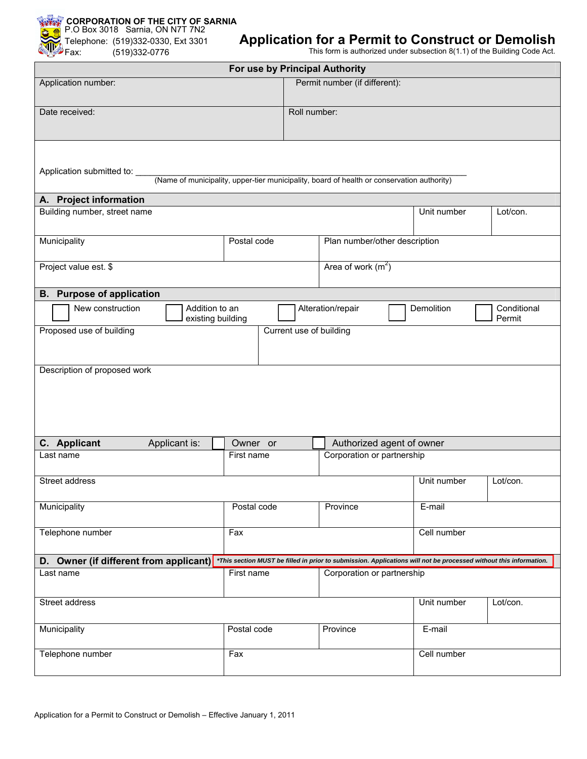

## **Application for a Permit to Construct or Demolish**

This form is authorized under subsection 8(1.1) of the Building Code Act.

|                                                                                                                              |                                     |             |                               | For use by Principal Authority |             |             |                                                                                                                   |  |  |  |
|------------------------------------------------------------------------------------------------------------------------------|-------------------------------------|-------------|-------------------------------|--------------------------------|-------------|-------------|-------------------------------------------------------------------------------------------------------------------|--|--|--|
| Application number:                                                                                                          |                                     |             |                               | Permit number (if different):  |             |             |                                                                                                                   |  |  |  |
| Date received:                                                                                                               |                                     |             |                               | Roll number:                   |             |             |                                                                                                                   |  |  |  |
| Application submitted to: ____<br>(Name of municipality, upper-tier municipality, board of health or conservation authority) |                                     |             |                               |                                |             |             |                                                                                                                   |  |  |  |
| A. Project information                                                                                                       |                                     |             |                               |                                |             |             |                                                                                                                   |  |  |  |
| Building number, street name                                                                                                 |                                     |             |                               |                                | Unit number | Lot/con.    |                                                                                                                   |  |  |  |
| Municipality                                                                                                                 | Postal code                         |             | Plan number/other description |                                |             |             |                                                                                                                   |  |  |  |
| Project value est. \$                                                                                                        |                                     |             |                               | Area of work $(m2)$            |             |             |                                                                                                                   |  |  |  |
| <b>B.</b> Purpose of application                                                                                             |                                     |             |                               |                                |             |             |                                                                                                                   |  |  |  |
| New construction                                                                                                             | Addition to an<br>existing building |             |                               | Alteration/repair              |             | Demolition  | Conditional<br>Permit                                                                                             |  |  |  |
| Proposed use of building                                                                                                     | Current use of building             |             |                               |                                |             |             |                                                                                                                   |  |  |  |
| Description of proposed work                                                                                                 |                                     |             |                               |                                |             |             |                                                                                                                   |  |  |  |
| C. Applicant                                                                                                                 | Applicant is:                       | Owner or    |                               | Authorized agent of owner      |             |             |                                                                                                                   |  |  |  |
| Last name                                                                                                                    |                                     | First name  |                               | Corporation or partnership     |             |             |                                                                                                                   |  |  |  |
| Street address                                                                                                               |                                     |             |                               |                                |             | Unit number | Lot/con.                                                                                                          |  |  |  |
| Municipality                                                                                                                 |                                     |             | Postal code                   | Province                       |             | E-mail      |                                                                                                                   |  |  |  |
| Telephone number                                                                                                             | Fax                                 |             |                               | Cell number                    |             |             |                                                                                                                   |  |  |  |
| D. Owner (if different from applicant)                                                                                       |                                     |             |                               |                                |             |             | *This section MUST be filled in prior to submission. Applications will not be processed without this information. |  |  |  |
| Last name                                                                                                                    | First name                          |             | Corporation or partnership    |                                |             |             |                                                                                                                   |  |  |  |
| Street address                                                                                                               |                                     |             |                               |                                |             | Unit number | Lot/con.                                                                                                          |  |  |  |
| Municipality                                                                                                                 |                                     | Postal code |                               | Province                       |             | E-mail      |                                                                                                                   |  |  |  |
| Telephone number                                                                                                             |                                     | Fax         |                               |                                | Cell number |             |                                                                                                                   |  |  |  |